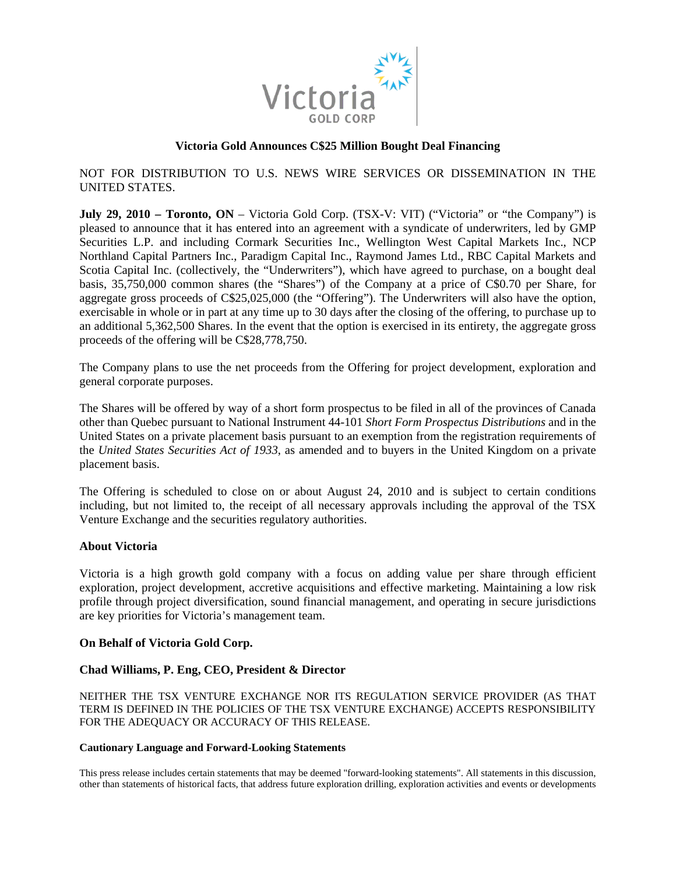

# **Victoria Gold Announces C\$25 Million Bought Deal Financing**

NOT FOR DISTRIBUTION TO U.S. NEWS WIRE SERVICES OR DISSEMINATION IN THE UNITED STATES.

**July 29, 2010 – Toronto, ON** – Victoria Gold Corp. (TSX-V: VIT) ("Victoria" or "the Company") is pleased to announce that it has entered into an agreement with a syndicate of underwriters, led by GMP Securities L.P. and including Cormark Securities Inc., Wellington West Capital Markets Inc., NCP Northland Capital Partners Inc., Paradigm Capital Inc., Raymond James Ltd., RBC Capital Markets and Scotia Capital Inc. (collectively, the "Underwriters"), which have agreed to purchase, on a bought deal basis, 35,750,000 common shares (the "Shares") of the Company at a price of C\$0.70 per Share, for aggregate gross proceeds of C\$25,025,000 (the "Offering"). The Underwriters will also have the option, exercisable in whole or in part at any time up to 30 days after the closing of the offering, to purchase up to an additional 5,362,500 Shares. In the event that the option is exercised in its entirety, the aggregate gross proceeds of the offering will be C\$28,778,750.

The Company plans to use the net proceeds from the Offering for project development, exploration and general corporate purposes.

The Shares will be offered by way of a short form prospectus to be filed in all of the provinces of Canada other than Quebec pursuant to National Instrument 44-101 *Short Form Prospectus Distributions* and in the United States on a private placement basis pursuant to an exemption from the registration requirements of the *United States Securities Act of 1933*, as amended and to buyers in the United Kingdom on a private placement basis.

The Offering is scheduled to close on or about August 24, 2010 and is subject to certain conditions including, but not limited to, the receipt of all necessary approvals including the approval of the TSX Venture Exchange and the securities regulatory authorities.

## **About Victoria**

Victoria is a high growth gold company with a focus on adding value per share through efficient exploration, project development, accretive acquisitions and effective marketing. Maintaining a low risk profile through project diversification, sound financial management, and operating in secure jurisdictions are key priorities for Victoria's management team.

## **On Behalf of Victoria Gold Corp.**

### **Chad Williams, P. Eng, CEO, President & Director**

NEITHER THE TSX VENTURE EXCHANGE NOR ITS REGULATION SERVICE PROVIDER (AS THAT TERM IS DEFINED IN THE POLICIES OF THE TSX VENTURE EXCHANGE) ACCEPTS RESPONSIBILITY FOR THE ADEQUACY OR ACCURACY OF THIS RELEASE.

#### **Cautionary Language and Forward-Looking Statements**

This press release includes certain statements that may be deemed "forward-looking statements". All statements in this discussion, other than statements of historical facts, that address future exploration drilling, exploration activities and events or developments